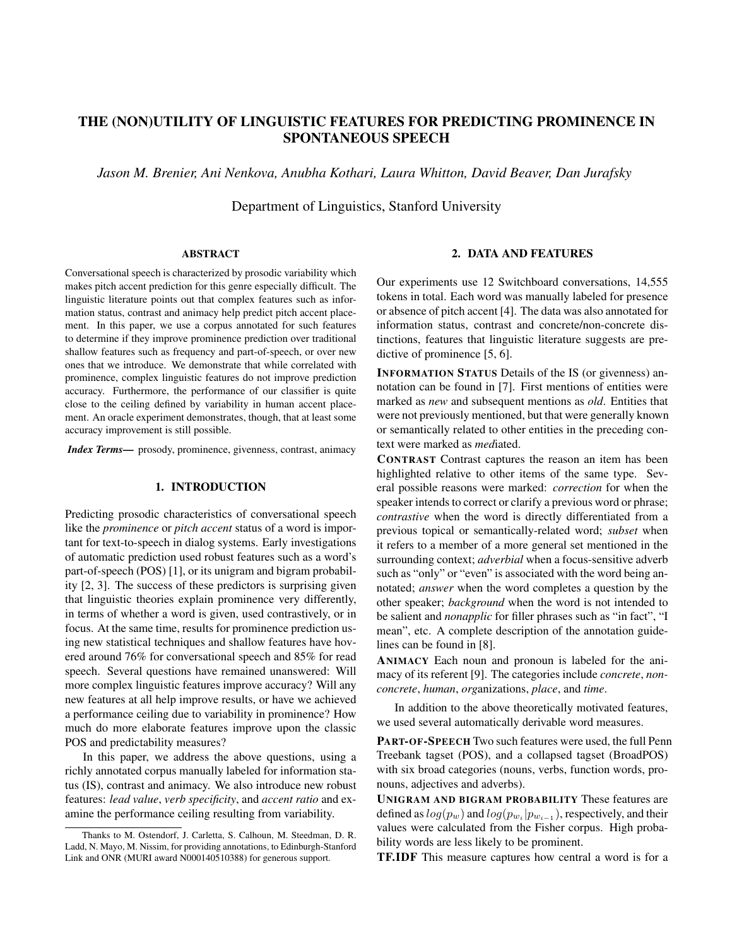# THE (NON)UTILITY OF LINGUISTIC FEATURES FOR PREDICTING PROMINENCE IN SPONTANEOUS SPEECH

*Jason M. Brenier, Ani Nenkova, Anubha Kothari, Laura Whitton, David Beaver, Dan Jurafsky*

Department of Linguistics, Stanford University

## ABSTRACT

Conversational speech is characterized by prosodic variability which makes pitch accent prediction for this genre especially difficult. The linguistic literature points out that complex features such as information status, contrast and animacy help predict pitch accent placement. In this paper, we use a corpus annotated for such features to determine if they improve prominence prediction over traditional shallow features such as frequency and part-of-speech, or over new ones that we introduce. We demonstrate that while correlated with prominence, complex linguistic features do not improve prediction accuracy. Furthermore, the performance of our classifier is quite close to the ceiling defined by variability in human accent placement. An oracle experiment demonstrates, though, that at least some accuracy improvement is still possible.

*Index Terms*— prosody, prominence, givenness, contrast, animacy

# 1. INTRODUCTION

Predicting prosodic characteristics of conversational speech like the *prominence* or *pitch accent* status of a word is important for text-to-speech in dialog systems. Early investigations of automatic prediction used robust features such as a word's part-of-speech (POS) [1], or its unigram and bigram probability [2, 3]. The success of these predictors is surprising given that linguistic theories explain prominence very differently, in terms of whether a word is given, used contrastively, or in focus. At the same time, results for prominence prediction using new statistical techniques and shallow features have hovered around 76% for conversational speech and 85% for read speech. Several questions have remained unanswered: Will more complex linguistic features improve accuracy? Will any new features at all help improve results, or have we achieved a performance ceiling due to variability in prominence? How much do more elaborate features improve upon the classic POS and predictability measures?

In this paper, we address the above questions, using a richly annotated corpus manually labeled for information status (IS), contrast and animacy. We also introduce new robust features: *lead value*, *verb specificity*, and *accent ratio* and examine the performance ceiling resulting from variability.

#### 2. DATA AND FEATURES

Our experiments use 12 Switchboard conversations, 14,555 tokens in total. Each word was manually labeled for presence or absence of pitch accent [4]. The data was also annotated for information status, contrast and concrete/non-concrete distinctions, features that linguistic literature suggests are predictive of prominence [5, 6].

INFORMATION STATUS Details of the IS (or givenness) annotation can be found in [7]. First mentions of entities were marked as *new* and subsequent mentions as *old*. Entities that were not previously mentioned, but that were generally known or semantically related to other entities in the preceding context were marked as *med*iated.

CONTRAST Contrast captures the reason an item has been highlighted relative to other items of the same type. Several possible reasons were marked: *correction* for when the speaker intends to correct or clarify a previous word or phrase; *contrastive* when the word is directly differentiated from a previous topical or semantically-related word; *subset* when it refers to a member of a more general set mentioned in the surrounding context; *adverbial* when a focus-sensitive adverb such as "only" or "even" is associated with the word being annotated; *answer* when the word completes a question by the other speaker; *background* when the word is not intended to be salient and *nonapplic* for filler phrases such as "in fact", "I mean", etc. A complete description of the annotation guidelines can be found in [8].

ANIMACY Each noun and pronoun is labeled for the animacy of its referent [9]. The categories include *concrete*, *nonconcrete*, *human*, *org*anizations, *place*, and *time*.

In addition to the above theoretically motivated features, we used several automatically derivable word measures.

PART-OF-SPEECH Two such features were used, the full Penn Treebank tagset (POS), and a collapsed tagset (BroadPOS) with six broad categories (nouns, verbs, function words, pronouns, adjectives and adverbs).

UNIGRAM AND BIGRAM PROBABILITY These features are defined as  $log(p_w)$  and  $log(p_{w_i}|p_{w_{i-1}})$ , respectively, and their values were calculated from the Fisher corpus. High probability words are less likely to be prominent.

TF.IDF This measure captures how central a word is for a

Thanks to M. Ostendorf, J. Carletta, S. Calhoun, M. Steedman, D. R. Ladd, N. Mayo, M. Nissim, for providing annotations, to Edinburgh-Stanford Link and ONR (MURI award N000140510388) for generous support.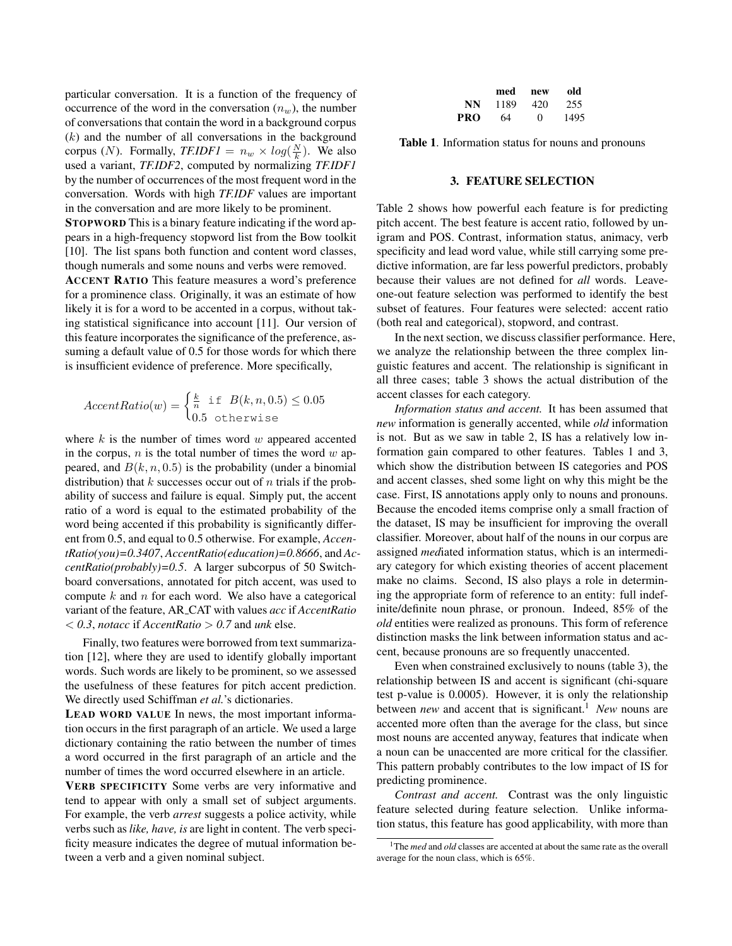particular conversation. It is a function of the frequency of occurrence of the word in the conversation  $(n_w)$ , the number of conversations that contain the word in a background corpus  $(k)$  and the number of all conversations in the background corpus (*N*). Formally, *TF.IDF1* =  $n_w \times log(\frac{N}{k})$ . We also used a variant, *TF.IDF2*, computed by normalizing *TF.IDF1* by the number of occurrences of the most frequent word in the conversation. Words with high *TF.IDF* values are important in the conversation and are more likely to be prominent.

STOPWORD This is a binary feature indicating if the word appears in a high-frequency stopword list from the Bow toolkit [10]. The list spans both function and content word classes, though numerals and some nouns and verbs were removed.

ACCENT RATIO This feature measures a word's preference for a prominence class. Originally, it was an estimate of how likely it is for a word to be accented in a corpus, without taking statistical significance into account [11]. Our version of this feature incorporates the significance of the preference, assuming a default value of 0.5 for those words for which there is insufficient evidence of preference. More specifically,

$$
AccentRatio(w) = \begin{cases} \frac{k}{n} & \text{if } B(k, n, 0.5) \le 0.05\\ 0.5 & \text{otherwise} \end{cases}
$$

where  $k$  is the number of times word  $w$  appeared accented in the corpus,  $n$  is the total number of times the word  $w$  appeared, and  $B(k, n, 0.5)$  is the probability (under a binomial distribution) that k successes occur out of n trials if the probability of success and failure is equal. Simply put, the accent ratio of a word is equal to the estimated probability of the word being accented if this probability is significantly different from 0.5, and equal to 0.5 otherwise. For example, *AccentRatio(you)=0.3407*, *AccentRatio(education)=0.8666*, and *AccentRatio(probably)=0.5*. A larger subcorpus of 50 Switchboard conversations, annotated for pitch accent, was used to compute  $k$  and  $n$  for each word. We also have a categorical variant of the feature, AR CAT with values *acc* if *AccentRatio* < *0.3*, *notacc* if *AccentRatio* > *0.7* and *unk* else.

Finally, two features were borrowed from text summarization [12], where they are used to identify globally important words. Such words are likely to be prominent, so we assessed the usefulness of these features for pitch accent prediction. We directly used Schiffman *et al.*'s dictionaries.

LEAD WORD VALUE In news, the most important information occurs in the first paragraph of an article. We used a large dictionary containing the ratio between the number of times a word occurred in the first paragraph of an article and the number of times the word occurred elsewhere in an article.

VERB SPECIFICITY Some verbs are very informative and tend to appear with only a small set of subject arguments. For example, the verb *arrest* suggests a police activity, while verbs such as*like, have, is* are light in content. The verb specificity measure indicates the degree of mutual information between a verb and a given nominal subject.

|     | med  | new | old  |
|-----|------|-----|------|
| NN  | 1189 | 420 | 255  |
| PRO | 64   | O   | 1495 |

Table 1. Information status for nouns and pronouns

## 3. FEATURE SELECTION

Table 2 shows how powerful each feature is for predicting pitch accent. The best feature is accent ratio, followed by unigram and POS. Contrast, information status, animacy, verb specificity and lead word value, while still carrying some predictive information, are far less powerful predictors, probably because their values are not defined for *all* words. Leaveone-out feature selection was performed to identify the best subset of features. Four features were selected: accent ratio (both real and categorical), stopword, and contrast.

In the next section, we discuss classifier performance. Here, we analyze the relationship between the three complex linguistic features and accent. The relationship is significant in all three cases; table 3 shows the actual distribution of the accent classes for each category.

*Information status and accent.* It has been assumed that *new* information is generally accented, while *old* information is not. But as we saw in table 2, IS has a relatively low information gain compared to other features. Tables 1 and 3, which show the distribution between IS categories and POS and accent classes, shed some light on why this might be the case. First, IS annotations apply only to nouns and pronouns. Because the encoded items comprise only a small fraction of the dataset, IS may be insufficient for improving the overall classifier. Moreover, about half of the nouns in our corpus are assigned *med*iated information status, which is an intermediary category for which existing theories of accent placement make no claims. Second, IS also plays a role in determining the appropriate form of reference to an entity: full indefinite/definite noun phrase, or pronoun. Indeed, 85% of the *old* entities were realized as pronouns. This form of reference distinction masks the link between information status and accent, because pronouns are so frequently unaccented.

Even when constrained exclusively to nouns (table 3), the relationship between IS and accent is significant (chi-square test p-value is 0.0005). However, it is only the relationship between *new* and accent that is significant.<sup>1</sup> *New* nouns are accented more often than the average for the class, but since most nouns are accented anyway, features that indicate when a noun can be unaccented are more critical for the classifier. This pattern probably contributes to the low impact of IS for predicting prominence.

*Contrast and accent.* Contrast was the only linguistic feature selected during feature selection. Unlike information status, this feature has good applicability, with more than

<sup>&</sup>lt;sup>1</sup>The *med* and *old* classes are accented at about the same rate as the overall average for the noun class, which is 65%.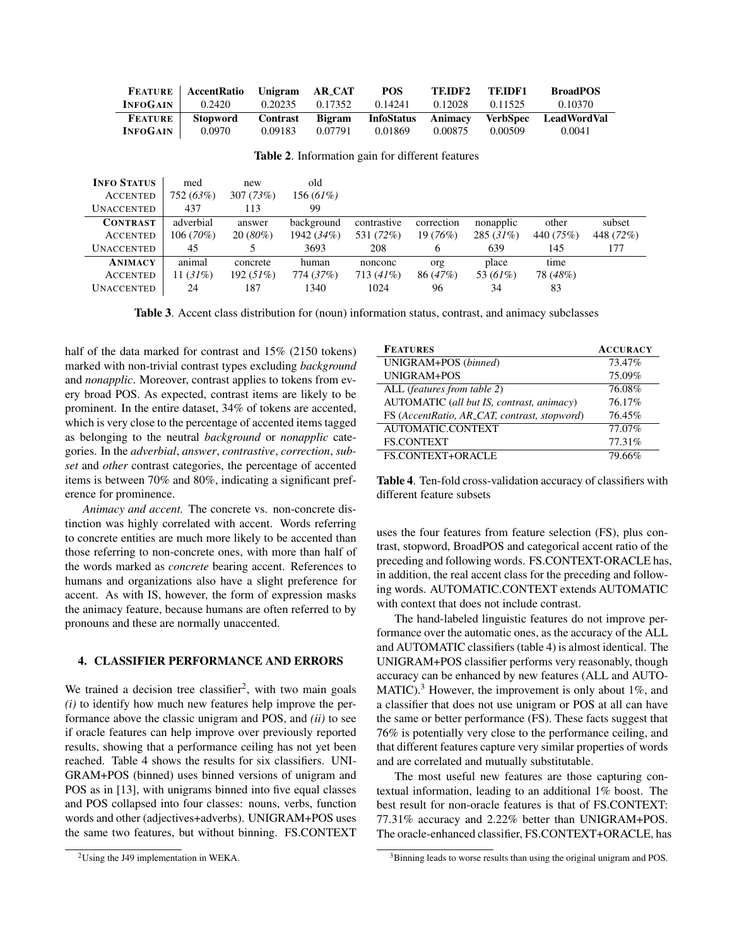|                 | <b>FEATURE</b>   <b>AccentRatio</b> Unigram |          | AR_CAT  | <b>POS</b> | TEIDF2  | TEIDF1  | <b>BroadPOS</b>                                |
|-----------------|---------------------------------------------|----------|---------|------------|---------|---------|------------------------------------------------|
| <b>INFOGAIN</b> | 0.2420                                      | 0.20235  | 0.17352 | 0.14241    | 0.12028 | 0.11525 | 0.10370                                        |
|                 |                                             |          |         |            |         |         |                                                |
| <b>FEATURE</b>  | <b>Stopword</b>                             | Contrast |         |            |         |         | Bigram InfoStatus Animacy VerbSpec LeadWordVal |

Table 2. Information gain for different features

| <b>INFO STATUS</b> | med         | new          | old         |             |            |           |           |           |
|--------------------|-------------|--------------|-------------|-------------|------------|-----------|-----------|-----------|
| <b>ACCENTED</b>    | 752 (63%)   | 307(73%)     | $156(61\%)$ |             |            |           |           |           |
| <b>UNACCENTED</b>  | 437         | 113          | 99          |             |            |           |           |           |
| <b>CONTRAST</b>    | adverbial   | answer       | background  | contrastive | correction | nonapplic | other     | subset    |
| <b>ACCENTED</b>    | $106(70\%)$ | $20(80\%)$   | 1942 (34%)  | 531 (72%)   | $19(76\%)$ | 285(31%)  | 440 (75%) | 448 (72%) |
| <b>UNACCENTED</b>  | 45          |              | 3693        | 208         |            | 639       | 145       | 177       |
| <b>ANIMACY</b>     | animal      | concrete     | human       | nonconc     | org        | place     | time      |           |
| <b>ACCENTED</b>    | 11 (31%)    | 192 $(51\%)$ | 774 (37%)   | $713(41\%)$ | 86 (47%)   | 53 (61%)  | 78 (48%)  |           |
| <b>UNACCENTED</b>  | 24          | 187          | 1340        | 1024        | 96         | 34        | 83        |           |
|                    |             |              |             |             |            |           |           |           |

Table 3. Accent class distribution for (noun) information status, contrast, and animacy subclasses

half of the data marked for contrast and 15% (2150 tokens) marked with non-trivial contrast types excluding *background* and *nonapplic*. Moreover, contrast applies to tokens from every broad POS. As expected, contrast items are likely to be prominent. In the entire dataset, 34% of tokens are accented, which is very close to the percentage of accented items tagged as belonging to the neutral *background* or *nonapplic* categories. In the *adverbial*, *answer*, *contrastive*, *correction*, *subset* and *other* contrast categories, the percentage of accented items is between 70% and 80%, indicating a significant preference for prominence.

*Animacy and accent.* The concrete vs. non-concrete distinction was highly correlated with accent. Words referring to concrete entities are much more likely to be accented than those referring to non-concrete ones, with more than half of the words marked as *concrete* bearing accent. References to humans and organizations also have a slight preference for accent. As with IS, however, the form of expression masks the animacy feature, because humans are often referred to by pronouns and these are normally unaccented.

## 4. CLASSIFIER PERFORMANCE AND ERRORS

We trained a decision tree classifier<sup>2</sup>, with two main goals *(i)* to identify how much new features help improve the performance above the classic unigram and POS, and *(ii)* to see if oracle features can help improve over previously reported results, showing that a performance ceiling has not yet been reached. Table 4 shows the results for six classifiers. UNI-GRAM+POS (binned) uses binned versions of unigram and POS as in [13], with unigrams binned into five equal classes and POS collapsed into four classes: nouns, verbs, function words and other (adjectives+adverbs). UNIGRAM+POS uses the same two features, but without binning. FS.CONTEXT

| <b>FEATURES</b>                              | <b>ACCURACY</b> |
|----------------------------------------------|-----------------|
| UNIGRAM+POS (binned)                         | 73.47%          |
| UNIGRAM+POS                                  | 75.09%          |
| ALL (features from table 2)                  | 76.08%          |
| AUTOMATIC (all but IS, contrast, animacy)    | 76.17%          |
| FS (AccentRatio, AR_CAT, contrast, stopword) | 76.45%          |
| AUTOMATIC.CONTEXT                            | 77.07%          |
| <b>FS.CONTEXT</b>                            | 77.31%          |
| <b>FS.CONTEXT+ORACLE</b>                     | 79.66%          |

Table 4. Ten-fold cross-validation accuracy of classifiers with different feature subsets

uses the four features from feature selection (FS), plus contrast, stopword, BroadPOS and categorical accent ratio of the preceding and following words. FS.CONTEXT-ORACLE has, in addition, the real accent class for the preceding and following words. AUTOMATIC.CONTEXT extends AUTOMATIC with context that does not include contrast.

The hand-labeled linguistic features do not improve performance over the automatic ones, as the accuracy of the ALL and AUTOMATIC classifiers (table 4) is almost identical. The UNIGRAM+POS classifier performs very reasonably, though accuracy can be enhanced by new features (ALL and AUTO-MATIC).<sup>3</sup> However, the improvement is only about  $1\%$ , and a classifier that does not use unigram or POS at all can have the same or better performance (FS). These facts suggest that 76% is potentially very close to the performance ceiling, and that different features capture very similar properties of words and are correlated and mutually substitutable.

The most useful new features are those capturing contextual information, leading to an additional 1% boost. The best result for non-oracle features is that of FS.CONTEXT: 77.31% accuracy and 2.22% better than UNIGRAM+POS. The oracle-enhanced classifier, FS.CONTEXT+ORACLE, has

<sup>2</sup>Using the J49 implementation in WEKA.

<sup>&</sup>lt;sup>3</sup>Binning leads to worse results than using the original unigram and POS.